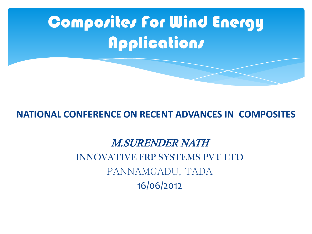

#### **NATIONAL CONFERENCE ON RECENT ADVANCES IN COMPOSITES**

M.SURENDER NATH INNOVATIVE FRP SYSTEMS PVT LTD PANNAMGADU, TADA 16/06/2012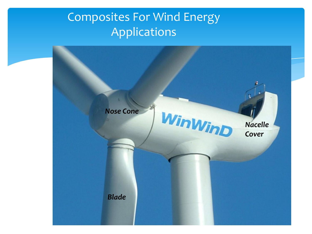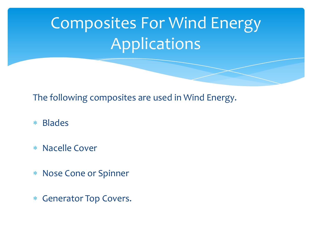The following composites are used in Wind Energy.

- Blades
- Nacelle Cover
- Nose Cone or Spinner
- Generator Top Covers.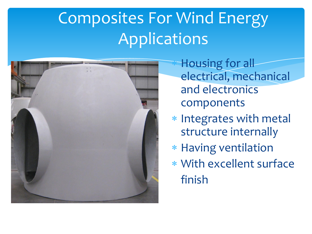

 Housing for all electrical, mechanical and electronics components

- \* Integrates with metal structure internally
- \* Having ventilation
- With excellent surface finish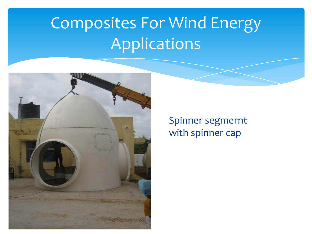

Spinner segmernt with spinner cap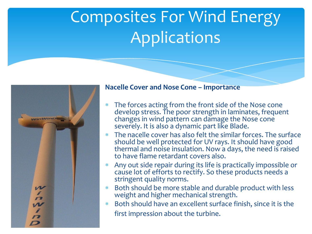

#### **Nacelle Cover and Nose Cone – Importance**

- The forces acting from the front side of the Nose cone develop stress. The poor strength in laminates, frequent changes in wind pattern can damage the Nose cone severely. It is also a dynamic part like Blade.
- The nacelle cover has also felt the similar forces. The surface should be well protected for UV rays. It should have good thermal and noise insulation. Now a days, the need is raised to have flame retardant covers also.
- Any out side repair during its life is practically impossible or cause lot of efforts to rectify. So these products needs a stringent quality norms.
- Both should be more stable and durable product with less weight and higher mechanical strength.
- Both should have an excellent surface finish, since it is the first impression about the turbine.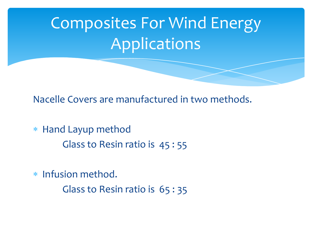Nacelle Covers are manufactured in two methods.

- Hand Layup method Glass to Resin ratio is 45 : 55
- \* Infusion method. Glass to Resin ratio is 65 : 35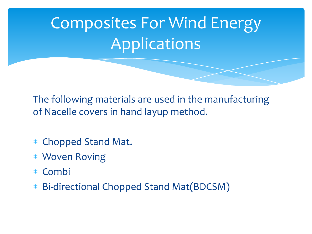The following materials are used in the manufacturing of Nacelle covers in hand layup method.

- Chopped Stand Mat.
- Woven Roving
- Combi
- Bi-directional Chopped Stand Mat(BDCSM)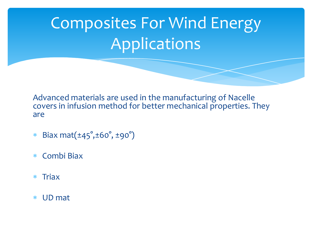Advanced materials are used in the manufacturing of Nacelle covers in infusion method for better mechanical properties. They are

- Biax mat(±45° ,±60° , ±90°)
- Combi Biax
- $*$  Triax
- UD mat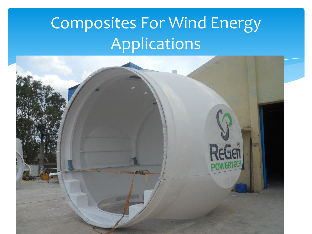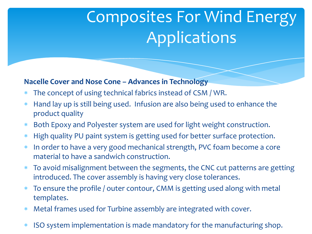#### **Nacelle Cover and Nose Cone – Advances in Technology**

- The concept of using technical fabrics instead of CSM / WR.
- Hand lay up is still being used. Infusion are also being used to enhance the product quality
- Both Epoxy and Polyester system are used for light weight construction.
- \* High quality PU paint system is getting used for better surface protection.
- \* In order to have a very good mechanical strength, PVC foam become a core material to have a sandwich construction.
- To avoid misalignment between the segments, the CNC cut patterns are getting introduced. The cover assembly is having very close tolerances.
- To ensure the profile / outer contour, CMM is getting used along with metal templates.
- Metal frames used for Turbine assembly are integrated with cover.
- ISO system implementation is made mandatory for the manufacturing shop.